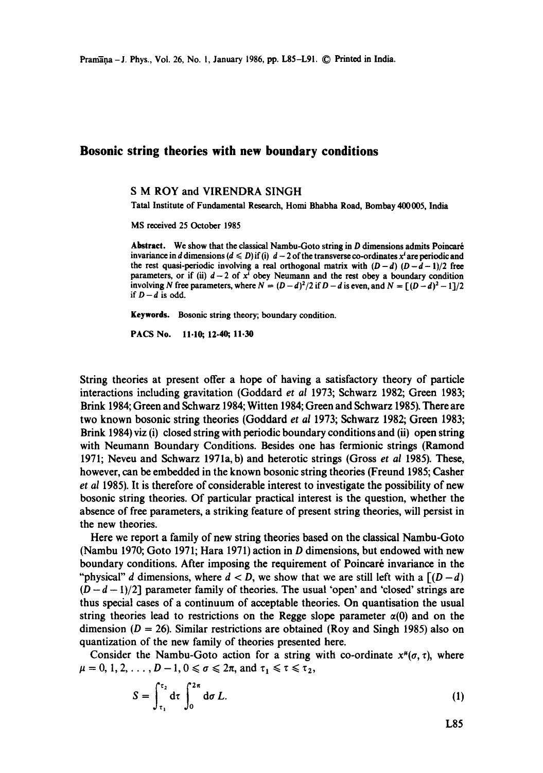## **Bosonic string theories with new boundary conditions**

## **S M** ROY and VIRENDRA SINGH

Tatal Institute of Fundamental Research, Homi Bhabha Road, Bombay 400005, India

MS received 25 October 1985

**Abstract.** We show that the classical Nambu-Goto string in D dimensions admits Poincar6 invariance in d dimensions  $(d \leq D)$  if (i)  $d-2$  of the transverse co-ordinates x<sup>i</sup> are periodic and the rest quasi-periodic involving a real orthogonal matrix with  $(D-d)$   $(D-d-1)/2$  free parameters, or if (ii)  $d-2$  of  $x^i$  obey Neumann and the rest obey a boundary condition involving *N* free parameters, where  $N = (D - d)^2/2$  if  $D - d$  is even, and  $N = [(D - d)^2 - 1]/2$ if  $D - d$  is odd.

**Keywords.** Bosonic string theory; boundary condition.

PACS No. 11.10; 12.40, 11.30

String theories at present offer a hope of having a satisfactory theory of particle interactions including gravitation (Goddard *et al* 1973; Schwarz I982; Green 1983; Brink 1984; Green and Schwarz 1984; Witten 1984; Green and Schwarz 1985). There are two known bosonic string theories (Goddard *et al* 1973; Schwarz 1982; Green 1983; Brink 1984) viz (i) closed string with periodic boundary conditions and (ii) open string with Neumann Boundary Conditions. Besides one has fermionic strings (Ramond 1971; Neveu and Schwarz 1971a, b) and heterotic strings (Gross *et al* 1985). These, however, can be embedded in the known bosonic string theories (Freund 1985; Casher *et al* 1985). It is therefore of considerable interest to investigate the possibility of new bosonic string theories. Of particular practical interest is the question, whether the absence of free parameters, a striking feature of present string theories, will persist in the new theories.

Here we report a family of new string theories based on the classical Nambu-Goto (Nambu 1970; Goto 1971; Hara 1971) action in D dimensions, but endowed with new boundary conditions. After imposing the requirement of Poincaré invariance in the "physical" d dimensions, where  $d < D$ , we show that we are still left with a  $[(D-d)]$  $(D-d-1)/2$ ] parameter family of theories. The usual 'open' and 'closed' strings are thus special cases of a continuum of acceptable theories. On quantisation the usual string theories lead to restrictions on the Regge slope parameter  $\alpha(0)$  and on the dimension ( $D = 26$ ). Similar restrictions are obtained (Roy and Singh 1985) also on quantization of the new family of theories presented here.

Consider the Nambu-Goto action for a string with co-ordinate  $x^{\mu}(\sigma, \tau)$ , where  $\mu = 0, 1, 2, \ldots, D-1, 0 \leq \sigma \leq 2\pi$ , and  $\tau_1 \leq \tau \leq \tau_2$ ,

$$
S = \int_{\tau_1}^{\tau_2} d\tau \int_0^{2\pi} d\sigma L.
$$
 (1)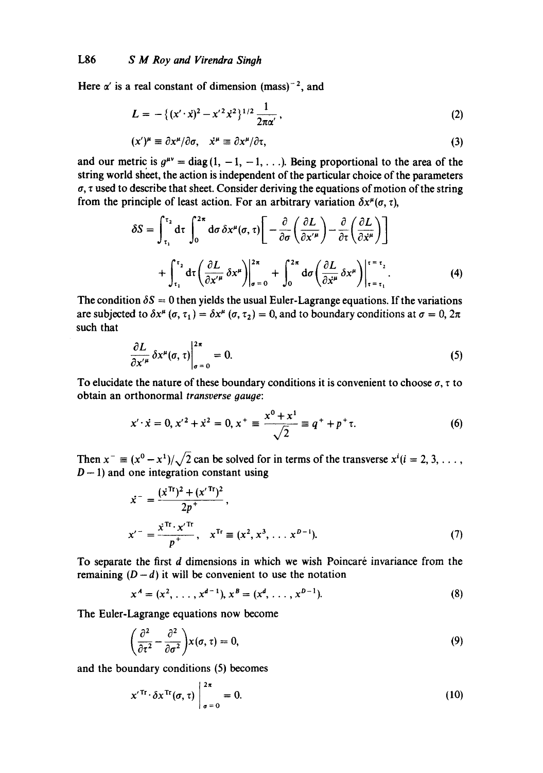Here  $\alpha'$  is a real constant of dimension (mass)<sup>-2</sup>, and

$$
L = -\{(x'\cdot\dot{x})^2 - x'^2\dot{x}^2\}^{1/2} \frac{1}{2\pi\alpha'},
$$
 (2)

$$
(x')^{\mu} \equiv \partial x^{\mu}/\partial \sigma, \quad \dot{x}^{\mu} \equiv \partial x^{\mu}/\partial \tau,
$$
 (3)

and our metric is  $g^{\mu\nu} = \text{diag}(1, -1, -1, \ldots)$ . Being proportional to the area of the string world sheet, the action is independent of the particular choice of the parameters  $\sigma$ ,  $\tau$  used to describe that sheet. Consider deriving the equations of motion of the string from the principle of least action. For an arbitrary variation  $\delta x^{\mu}(\sigma, \tau)$ ,

$$
\delta S = \int_{\tau_1}^{\tau_2} d\tau \int_0^{2\pi} d\sigma \, \delta x^{\mu}(\sigma, \tau) \Bigg[ -\frac{\partial}{\partial \sigma} \left( \frac{\partial L}{\partial x^{\prime \mu}} \right) - \frac{\partial}{\partial \tau} \left( \frac{\partial L}{\partial \dot{x}^{\mu}} \right) \Bigg] + \int_{\tau_1}^{\tau_2} d\tau \left( \frac{\partial L}{\partial x^{\prime \mu}} \, \delta x^{\mu} \right) \Bigg|_{\sigma = 0}^{2\pi} + \int_0^{2\pi} d\sigma \left( \frac{\partial L}{\partial \dot{x}^{\mu}} \, \delta x^{\mu} \right) \Bigg|_{\tau = \tau_1}^{\tau = \tau_2} . \tag{4}
$$

The condition  $\delta S = 0$  then yields the usual Euler-Lagrange equations. If the variations are subjected to  $\delta x^{\mu}$  ( $\sigma$ ,  $\tau$ <sub>1</sub>) =  $\delta x^{\mu}$  ( $\sigma$ ,  $\tau$ <sub>2</sub>) = 0, and to boundary conditions at  $\sigma$  = 0,  $2\pi$ such that

$$
\frac{\partial L}{\partial x'^\mu} \, \delta x^\mu(\sigma, \tau) \bigg|_{\sigma = 0}^{2\pi} = 0. \tag{5}
$$

To elucidate the nature of these boundary conditions it is convenient to choose  $\sigma$ ,  $\tau$  to obtain an orthonormal *transverse gauge:* 

$$
x' \cdot \dot{x} = 0, x'^2 + \dot{x}^2 = 0, x^+ \equiv \frac{x^0 + x^1}{\sqrt{2}} \equiv q^+ + p^+ \tau. \tag{6}
$$

Then  $x^- \equiv (x^0 - x^1)/\sqrt{2}$  can be solved for in terms of the transverse  $x^i(i = 2, 3, \ldots)$  $D-1$ ) and one integration constant using

$$
\dot{x}^- = \frac{(\dot{x}^{\text{Tr}})^2 + (x^{\prime \text{Tr}})^2}{2p^+},
$$
\n
$$
x^{\prime -} = \frac{\dot{x}^{\text{Tr}} \cdot x^{\prime \text{Tr}}}{p^+}, \quad x^{\text{Tr}} \equiv (x^2, x^3, \dots x^{p-1}).
$$
\n(7)

To separate the first d dimensions in which we wish Poincaré invariance from the remaining  $(D - d)$  it will be convenient to use the notation

$$
x^A = (x^2, \ldots, x^{d-1}), x^B = (x^d, \ldots, x^{D-1}).
$$
\n(8)

The Euler-Lagrange equations now become

$$
\left(\frac{\partial^2}{\partial \tau^2} - \frac{\partial^2}{\partial \sigma^2}\right) x(\sigma, \tau) = 0, \tag{9}
$$

and the boundary conditions (5) becomes

$$
x'^{\operatorname{Tr}} \cdot \delta x^{\operatorname{Tr}}(\sigma, \tau) \Big|_{\sigma = 0}^{2\pi} = 0. \tag{10}
$$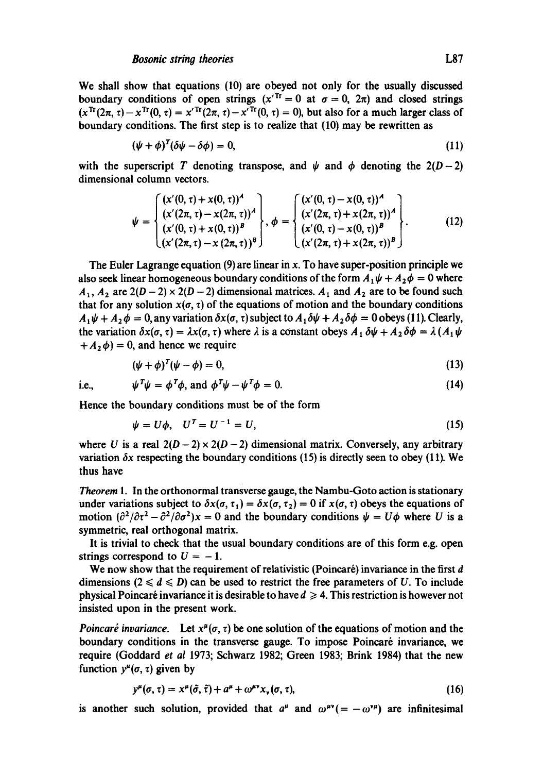We shall show that equations (10) are obeyed not only for the usually discussed boundary conditions of open strings  $(x^{Tt} = 0$  at  $\sigma = 0$ ,  $2\pi$ ) and closed strings  $(x^{Tr}(2\pi, \tau) - x^{Tr}(0, \tau) = x^{Tr}(2\pi, \tau) - x^{Tr}(0, \tau) = 0$ , but also for a much larger class of boundary conditions. The first step is to realize that (10) may be rewritten as

$$
(\psi + \phi)^T (\delta \psi - \delta \phi) = 0, \tag{11}
$$

with the superscript T denoting transpose, and  $\psi$  and  $\phi$  denoting the 2(D-2) dimensional column vectors.

$$
\psi = \begin{cases}\n(x'(0, \tau) + x(0, \tau))^A \\
(x'(2\pi, \tau) - x(2\pi, \tau))^A \\
(x'(0, \tau) + x(0, \tau))^B \\
(x'(2\pi, \tau) - x(2\pi, \tau))^B\n\end{cases}, \phi = \begin{cases}\n(x'(0, \tau) - x(0, \tau))^A \\
(x'(2\pi, \tau) + x(2\pi, \tau))^A \\
(x'(0, \tau) - x(0, \tau))^B \\
(x'(2\pi, \tau) + x(2\pi, \tau))^B\n\end{cases}.
$$
\n(12)

The Euler Lagrange equation  $(9)$  are linear in x. To have super-position principle we also seek linear homogeneous boundary conditions of the form  $A_1\psi + A_2\phi = 0$  where  $A_1$ ,  $A_2$  are  $2(D-2) \times 2(D-2)$  dimensional matrices.  $A_1$  and  $A_2$  are to be found such that for any solution  $x(\sigma, \tau)$  of the equations of motion and the boundary conditions  $A_1 \psi + A_2 \phi = 0$ , any variation  $\delta x(\sigma, \tau)$  subject to  $A_1 \delta \psi + A_2 \delta \phi = 0$  obeys (11). Clearly, the variation  $\delta x(\sigma, \tau) = \lambda x(\sigma, \tau)$  where  $\lambda$  is a constant obeys  $A_1 \delta \psi + A_2 \delta \phi = \lambda (A_1 \psi,$  $+A_2\phi$  = 0, and hence we require

$$
(\psi + \phi)^T (\psi - \phi) = 0, \tag{13}
$$

i.e., 
$$
\psi^T \psi = \phi^T \phi, \text{ and } \phi^T \psi - \psi^T \phi = 0.
$$
 (14)

Hence the boundary conditions must be of the form

$$
\psi = U\phi, \quad U^T = U^{-1} = U,\tag{15}
$$

where U is a real  $2(D-2) \times 2(D-2)$  dimensional matrix. Conversely, any arbitrary variation  $\delta x$  respecting the boundary conditions (15) is directly seen to obey (11). We thus have

*Theorem* 1. In the orthonormal transverse gauge, the Nambu-Goto action is stationary under variations subject to  $\delta x(\sigma, \tau_1) = \delta x(\sigma, \tau_2) = 0$  if  $x(\sigma, \tau)$  obeys the equations of motion  $(\partial^2/\partial \tau^2 - \partial^2/\partial \sigma^2)x = 0$  and the boundary conditions  $\psi = U\phi$  where U is a symmetric, real orthogonal matrix.

It is trivial to cheek that the usual boundary conditions are of this form e.g. open strings correspond to  $U = -1$ .

We now show that the requirement of relativistic (Poincaré) invariance in the first  $d$ dimensions  $(2 \le d \le D)$  can be used to restrict the free parameters of U. To include physical Poincaré invariance it is desirable to have  $d \geq 4$ . This restriction is however not insisted upon in the present work.

*Poincaré invariance.* Let  $x^{\mu}(\sigma, \tau)$  be one solution of the equations of motion and the boundary conditions in the transverse gauge. To impose Poincaré invariance, we require (Goddard *et al* 1973; Schwarz 1982; Green 1983; Brink 1984) that the new function  $y^{\mu}(\sigma, \tau)$  given by

$$
y^{\mu}(\sigma,\tau)=x^{\mu}(\tilde{\sigma},\tilde{\tau})+a^{\mu}+\omega^{\mu\nu}x_{\nu}(\sigma,\tau), \qquad (16)
$$

is another such solution, provided that  $a^{\mu}$  and  $\omega^{\mu\nu}$  =  $-\omega^{\nu\mu}$ ) are infinitesimal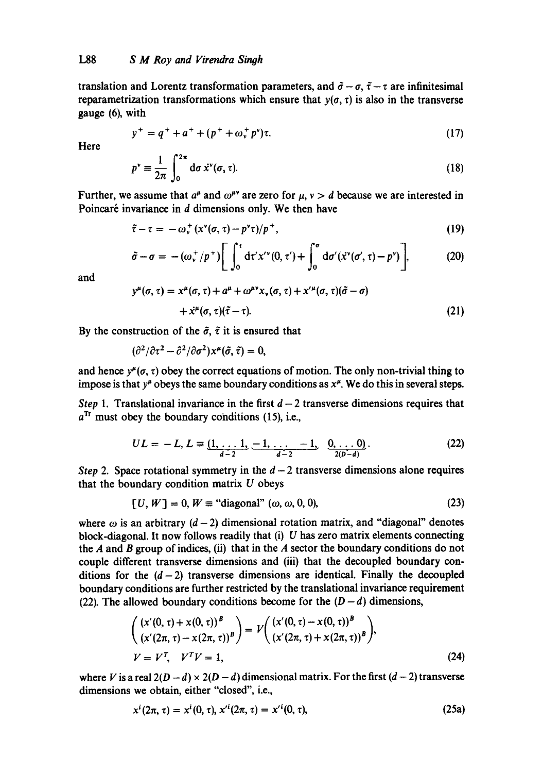translation and Lorentz transformation parameters, and  $\tilde{\sigma} - \sigma$ ,  $\tilde{\tau} - \tau$  are infinitesimal reparametrization transformations which ensure that  $y(\sigma, \tau)$  is also in the transverse gauge (6), with

$$
y^{+} = q^{+} + a^{+} + (p^{+} + \omega_{v}^{+} p^{v})\tau.
$$
 (17)

**Here** 

$$
p^{\nu} \equiv \frac{1}{2\pi} \int_0^{2\pi} d\sigma \, \dot{x}^{\nu}(\sigma, \tau). \tag{18}
$$

Further, we assume that  $a^{\mu}$  and  $\omega^{\mu\nu}$  are zero for  $\mu$ ,  $\nu > d$  because we are interested in Poincaré invariance in d dimensions only. We then have

$$
\tilde{\tau}-\tau=-\omega_{\nu}^{+}(x^{\nu}(\sigma,\tau)-p^{\nu}\tau)/p^{+}, \qquad (19)
$$

$$
\tilde{\sigma}-\sigma = -(\omega_{\nu}^{+}/p^{+})\bigg[\int_0^{\tau} d\tau' x'^{\nu}(0,\tau') + \int_0^{\sigma} d\sigma'(\dot{x}^{\nu}(\sigma',\tau)-p^{\nu})\bigg],
$$
 (20)

and

$$
y^{\mu}(\sigma,\tau) = x^{\mu}(\sigma,\tau) + a^{\mu} + \omega^{\mu\nu}x_{\nu}(\sigma,\tau) + x^{\prime\mu}(\sigma,\tau)(\tilde{\sigma}-\sigma) + x^{\mu}(\sigma,\tau)(\tilde{\tau}-\tau).
$$
 (21)

By the construction of the  $\tilde{\sigma}$ ,  $\tilde{\tau}$  it is ensured that

$$
(\partial^2/\partial \tau^2 - \partial^2/\partial \sigma^2) x^{\mu}(\tilde{\sigma}, \tilde{\tau}) = 0,
$$

and hence  $y^{\mu}(\sigma, \tau)$  obey the correct equations of motion. The only non-trivial thing to impose is that  $y^{\mu}$  obeys the same boundary conditions as  $x^{\mu}$ . We do this in several steps.

*Step 1.* Translational invariance in the first  $d - 2$  transverse dimensions requires that  $a^{Tr}$  must obey the boundary conditions (15), i.e.,

$$
UL = -L, L \equiv \underbrace{(1, \ldots 1, -1, \ldots -1}_{d-2}, \underbrace{0, \ldots 0}_{2(D-d)}.
$$
 (22)

*Step* 2. Space rotational symmetry in the  $d-2$  transverse dimensions alone requires that the boundary condition matrix  $U$  obeys

$$
[U, W] = 0, W \equiv "diagonal" \ (\omega, \omega, 0, 0), \tag{23}
$$

where  $\omega$  is an arbitrary (d-2) dimensional rotation matrix, and "diagonal" denotes block-diagonal. It now follows readily that  $(i)$  U has zero matrix elements connecting the  $A$  and  $B$  group of indices, (ii) that in the  $A$  sector the boundary conditions do not couple different transverse dimensions and (iii) that the decoupled boundary conditions for the  $(d-2)$  transverse dimensions are identical. Finally the decoupled boundary conditions are further restricted by the translational invariance requirement (22). The allowed boundary conditions become for the  $(D-d)$  dimensions,

$$
\begin{pmatrix} (x'(0,\tau) + x(0,\tau))^B \\ (x'(2\pi,\tau) - x(2\pi,\tau))^B \end{pmatrix} = V \begin{pmatrix} (x'(0,\tau) - x(0,\tau))^B \\ (x'(2\pi,\tau) + x(2\pi,\tau))^B \end{pmatrix},
$$
  
\n
$$
V = V^T, \quad V^T V = 1,
$$
\n(24)

where V is a real  $2(D-d) \times 2(D-d)$  dimensional matrix. For the first  $(d-2)$  transverse dimensions we obtain, either "closed", i.e.,

$$
x^{i}(2\pi, \tau) = x^{i}(0, \tau), x'^{i}(2\pi, \tau) = x'^{i}(0, \tau),
$$
\n(25a)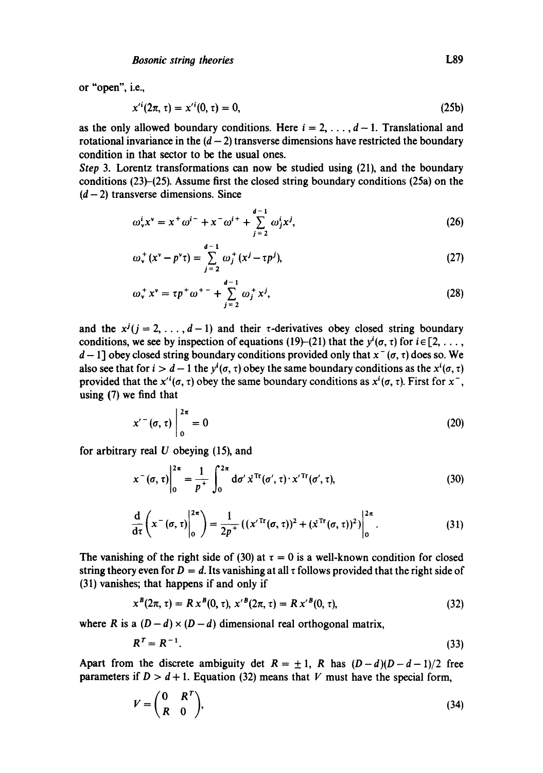or "open", i.e.,

$$
x'^{i}(2\pi, \tau) = x'^{i}(0, \tau) = 0, \tag{25b}
$$

as the only allowed boundary conditions. Here  $i = 2, \ldots, d - 1$ . Translational and rotational invariance in the  $(d - 2)$  transverse dimensions have restricted the boundary condition in that sector to be the usual ones.

*Step* 3. Lorentz transformations can now be studied using (21), and the boundary conditions (23)-(25). Assume first the closed string boundary conditions (25a) on the  $(d-2)$  transverse dimensions. Since

$$
\omega_v^i x^v = x^+ \omega^{i-} + x^- \omega^{i+} + \sum_{j=2}^{d-1} \omega_j^i x^j,
$$
 (26)

$$
\omega_{\mathbf{v}}^{+}(x^{\mathbf{v}}-p^{\mathbf{v}}\tau)=\sum_{j=2}^{d-1}\omega_{j}^{+}(x^{j}-\tau p^{j}),
$$
\n(27)

$$
\omega_{v}^{+} x^{v} = \tau p^{+} \omega^{+-} + \sum_{j=2}^{d-1} \omega_{j}^{+} x^{j}, \qquad (28)
$$

and the  $x^{j}$  ( $j = 2, ..., d-1$ ) and their  $\tau$ -derivatives obey closed string boundary conditions, we see by inspection of equations (19)-(21) that the  $y^{i}(\sigma, \tau)$  for  $i \in [2, \ldots,$  $d-1$ ] obey closed string boundary conditions provided only that  $x^-(\sigma, \tau)$  does so. We also see that for  $i > d - 1$  the  $y^{i}(\sigma, \tau)$  obey the same boundary conditions as the  $x^{i}(\sigma, \tau)$ provided that the  $x^{i}(\sigma, \tau)$  obey the same boundary conditions as  $x^{i}(\sigma, \tau)$ . First for  $x^{-}$ , using (7) we find that

$$
x'(\sigma,\tau)\bigg|_{0}^{2\pi}=0\tag{20}
$$

for arbitrary real  $U$  obeying (15), and

$$
x^{-}(\sigma,\tau)\Big|_{0}^{2\pi} = \frac{1}{p^{+}}\int_{0}^{2\pi} d\sigma' \,\dot{x}^{\text{Tr}}(\sigma',\tau)\cdot x'^{\text{Tr}}(\sigma',\tau),\tag{30}
$$

$$
\frac{\mathrm{d}}{\mathrm{d}\tau}\left(x^-(\sigma,\tau)\Big|_0^{2\pi}\right)=\frac{1}{2p^+}\left((x'^{\mathrm{Tr}}(\sigma,\tau))^2+(x^{\mathrm{Tr}}(\sigma,\tau))^2\right)\Big|_0^{2\pi}.
$$
\n(31)

The vanishing of the right side of (30) at  $\tau = 0$  is a well-known condition for closed string theory even for  $D = d$ . Its vanishing at all  $\tau$  follows provided that the right side of (31) vanishes; that happens if and only if

$$
x^{B}(2\pi, \tau) = R x^{B}(0, \tau), x'^{B}(2\pi, \tau) = R x'^{B}(0, \tau),
$$
\n(32)

where R is a  $(D-d) \times (D-d)$  dimensional real orthogonal matrix,

$$
R^T = R^{-1}.\tag{33}
$$

Apart from the discrete ambiguity det  $R = \pm 1$ , R has  $(D-d)(D-d-1)/2$  free parameters if  $D > d + 1$ . Equation (32) means that V must have the special form,

$$
V = \begin{pmatrix} 0 & R^T \\ R & 0 \end{pmatrix},\tag{34}
$$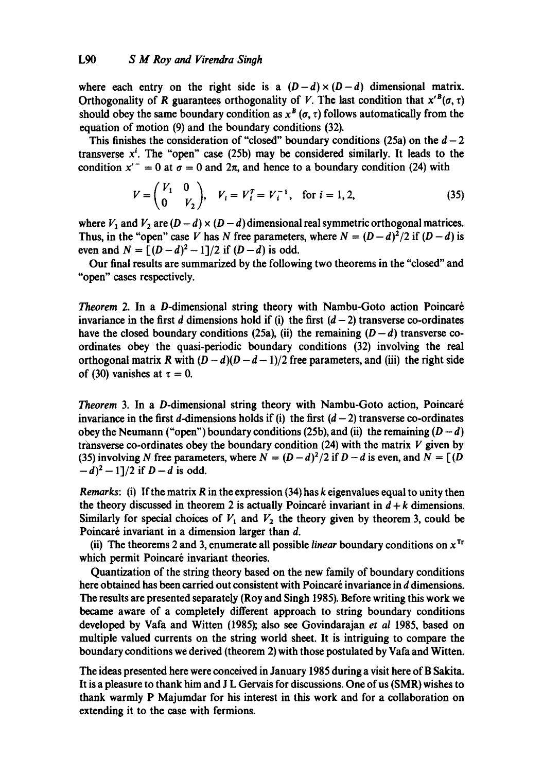where each entry on the right side is a  $(D-d) \times (D-d)$  dimensional matrix. Orthogonality of R guarantees orthogonality of V. The last condition that  $x^{\prime B}(\sigma, \tau)$ should obey the same boundary condition as  $x^B(\sigma, \tau)$  follows automatically from the equation of motion (9) and the boundary conditions (32).

This finishes the consideration of "closed" boundary conditions (25a) on the  $d-2$ transverse  $x<sup>i</sup>$ . The "open" case (25b) may be considered similarly. It leads to the condition  $x^{\prime -} = 0$  at  $\sigma = 0$  and  $2\pi$ , and hence to a boundary condition (24) with

$$
V = \begin{pmatrix} V_1 & 0 \\ 0 & V_2 \end{pmatrix}, V_i = V_i^T = V_i^{-1}, \text{ for } i = 1, 2,
$$
 (35)

where  $V_1$  and  $V_2$  are  $(D - d) \times (D - d)$  dimensional real symmetric orthogonal matrices. Thus, in the "open" case V has N free parameters, where  $N = (D - d)^2/2$  if  $(D - d)$  is even and  $N = \frac{(D-d)^2 - 1}{2}$  if  $(D-d)$  is odd.

Our final results are summarized by the following two theorems in the "closed" and "open" cases respectively.

*Theorem* 2. In a D-dimensional string theory with Nambu-Goto action Poincar6 invariance in the first d dimensions hold if (i) the first  $(d-2)$  transverse co-ordinates have the closed boundary conditions (25a), (ii) the remaining  $(D-d)$  transverse coordinates obey the quasi-periodic boundary conditions (32) involving the real orthogonal matrix R with  $(D-d)(D-d-1)/2$  free parameters, and (iii) the right side of (30) vanishes at  $\tau = 0$ .

*Theorem* 3. In a D-dimensional string theory with Nambu-Goto action, Poincar6 invariance in the first d-dimensions holds if (i) the first  $(d-2)$  transverse co-ordinates obey the Neumann ("open") boundary conditions (25b), and (ii) the remaining  $(D - d)$ transverse co-ordinates obey the boundary condition (24) with the matrix  $V$  given by (35) involving N free parameters, where  $N = (D - d)^2/2$  if  $D - d$  is even, and  $N = [(D - d)^2]/2$  $(-d)^{2} - 1$ ]/2 if  $D - d$  is odd.

*Remarks:* (i) If the matrix R in the expression (34) has k eigenvalues equal to unity then the theory discussed in theorem 2 is actually Poincaré invariant in  $d + k$  dimensions. Similarly for special choices of  $V_1$  and  $V_2$  the theory given by theorem 3, could be Poincaré invariant in a dimension larger than  $d$ .

(ii) The theorems 2 and 3, enumerate all possible *linear* boundary conditions on  $x^{Tr}$ which permit Poincaré invariant theories.

Quantization of the string theory based on the new family of boundary conditions here obtained has been carried out consistent with Poincaré invariance in d dimensions. The results are presented separately (Roy and Singh 1985). Before writing this work we became aware of a completely different approach to string boundary conditions developed by Vafa and Witten (1985); also see Govindarajan *et al* 1985, based on multiple valued currents on the string world sheet. It is intriguing to compare the boundary conditions we derived (theorem 2) with those postulated by Vafa and Witten.

The ideas presented here were conceived in January 1985 during a visit here of B Sakita. It is a pleasure to thank him and J L Gervais for discussions. One of us (SMR) wishes to thank warmly P Majumdar for his interest in this work and for a collaboration on extending it to the case with fermions.